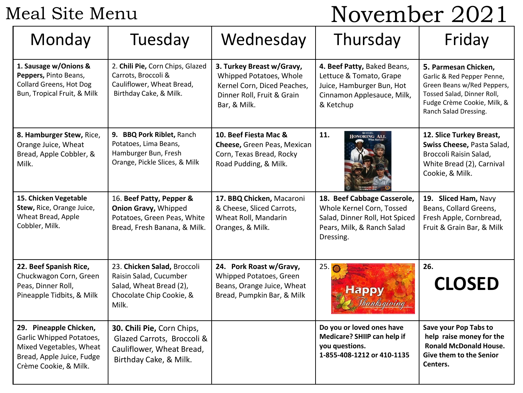Meal Site Menu

# November 2021

| Monday                                                                                                                              | Tuesday                                                                                                                | Wednesday                                                                                                                         | Thursday                                                                                                                              | Friday                                                                                                                                                                 |
|-------------------------------------------------------------------------------------------------------------------------------------|------------------------------------------------------------------------------------------------------------------------|-----------------------------------------------------------------------------------------------------------------------------------|---------------------------------------------------------------------------------------------------------------------------------------|------------------------------------------------------------------------------------------------------------------------------------------------------------------------|
| 1. Sausage w/Onions &<br>Peppers, Pinto Beans,<br><b>Collard Greens, Hot Dog</b><br>Bun, Tropical Fruit, & Milk                     | 2. Chili Pie, Corn Chips, Glazed<br>Carrots, Broccoli &<br>Cauliflower, Wheat Bread,<br>Birthday Cake, & Milk.         | 3. Turkey Breast w/Gravy,<br>Whipped Potatoes, Whole<br>Kernel Corn, Diced Peaches,<br>Dinner Roll, Fruit & Grain<br>Bar, & Milk. | 4. Beef Patty, Baked Beans,<br>Lettuce & Tomato, Grape<br>Juice, Hamburger Bun, Hot<br>Cinnamon Applesauce, Milk,<br>& Ketchup        | 5. Parmesan Chicken,<br>Garlic & Red Pepper Penne,<br>Green Beans w/Red Peppers,<br>Tossed Salad, Dinner Roll,<br>Fudge Crème Cookie, Milk, &<br>Ranch Salad Dressing. |
| 8. Hamburger Stew, Rice,<br>Orange Juice, Wheat<br>Bread, Apple Cobbler, &<br>Milk.                                                 | 9. BBQ Pork Riblet, Ranch<br>Potatoes, Lima Beans,<br>Hamburger Bun, Fresh<br>Orange, Pickle Slices, & Milk            | 10. Beef Fiesta Mac &<br>Cheese, Green Peas, Mexican<br>Corn, Texas Bread, Rocky<br>Road Pudding, & Milk.                         | 11.<br>HONORING ALL                                                                                                                   | 12. Slice Turkey Breast,<br>Swiss Cheese, Pasta Salad,<br>Broccoli Raisin Salad,<br>White Bread (2), Carnival<br>Cookie, & Milk.                                       |
| 15. Chicken Vegetable<br>Stew, Rice, Orange Juice,<br>Wheat Bread, Apple<br>Cobbler, Milk.                                          | 16. Beef Patty, Pepper &<br><b>Onion Gravy, Whipped</b><br>Potatoes, Green Peas, White<br>Bread, Fresh Banana, & Milk. | 17. BBQ Chicken, Macaroni<br>& Cheese, Sliced Carrots,<br>Wheat Roll, Mandarin<br>Oranges, & Milk.                                | 18. Beef Cabbage Casserole,<br>Whole Kernel Corn, Tossed<br>Salad, Dinner Roll, Hot Spiced<br>Pears, Milk, & Ranch Salad<br>Dressing. | 19. Sliced Ham, Navy<br>Beans, Collard Greens,<br>Fresh Apple, Cornbread,<br>Fruit & Grain Bar, & Milk                                                                 |
| 22. Beef Spanish Rice,<br>Chuckwagon Corn, Green<br>Peas, Dinner Roll,<br>Pineapple Tidbits, & Milk                                 | 23. Chicken Salad, Broccoli<br>Raisin Salad, Cucumber<br>Salad, Wheat Bread (2),<br>Chocolate Chip Cookie, &<br>Milk.  | 24. Pork Roast w/Gravy,<br>Whipped Potatoes, Green<br>Beans, Orange Juice, Wheat<br>Bread, Pumpkin Bar, & Milk                    | 25.<br><b>Happy</b><br>Thanksgiving                                                                                                   | 26.<br><b>CLOSED</b>                                                                                                                                                   |
| 29. Pineapple Chicken,<br>Garlic Whipped Potatoes,<br>Mixed Vegetables, Wheat<br>Bread, Apple Juice, Fudge<br>Crème Cookie, & Milk. | 30. Chili Pie, Corn Chips,<br>Glazed Carrots, Broccoli &<br>Cauliflower, Wheat Bread,<br>Birthday Cake, & Milk.        |                                                                                                                                   | Do you or loved ones have<br>Medicare? SHIIP can help if<br>you questions.<br>1-855-408-1212 or 410-1135                              | Save your Pop Tabs to<br>help raise money for the<br><b>Ronald McDonald House.</b><br><b>Give them to the Senior</b><br>Centers.                                       |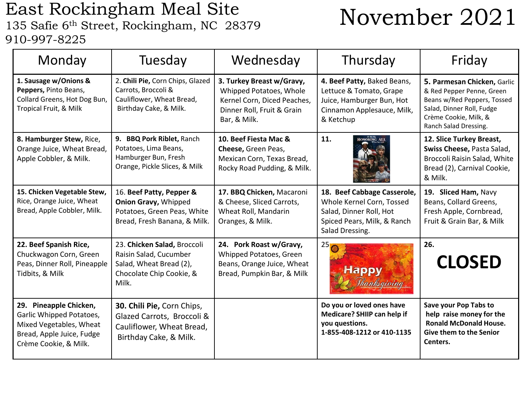## East Rockingham Meal Site East Rockingham Meal Site<br>135 Safie 6<sup>th</sup> Street, Rockingham, NC 28379 November 2021 910-997-8225

| Monday                                                                                                                              | Tuesday                                                                                                                | Wednesday                                                                                                                         | Thursday                                                                                                                              | Friday                                                                                                                                                                 |
|-------------------------------------------------------------------------------------------------------------------------------------|------------------------------------------------------------------------------------------------------------------------|-----------------------------------------------------------------------------------------------------------------------------------|---------------------------------------------------------------------------------------------------------------------------------------|------------------------------------------------------------------------------------------------------------------------------------------------------------------------|
| 1. Sausage w/Onions &<br>Peppers, Pinto Beans,<br>Collard Greens, Hot Dog Bun,<br>Tropical Fruit, & Milk                            | 2. Chili Pie, Corn Chips, Glazed<br>Carrots, Broccoli &<br>Cauliflower, Wheat Bread,<br>Birthday Cake, & Milk.         | 3. Turkey Breast w/Gravy,<br>Whipped Potatoes, Whole<br>Kernel Corn, Diced Peaches,<br>Dinner Roll, Fruit & Grain<br>Bar, & Milk. | 4. Beef Patty, Baked Beans,<br>Lettuce & Tomato, Grape<br>Juice, Hamburger Bun, Hot<br>Cinnamon Applesauce, Milk,<br>& Ketchup        | 5. Parmesan Chicken, Garlic<br>& Red Pepper Penne, Green<br>Beans w/Red Peppers, Tossed<br>Salad, Dinner Roll, Fudge<br>Crème Cookie, Milk, &<br>Ranch Salad Dressing. |
| 8. Hamburger Stew, Rice,<br>Orange Juice, Wheat Bread,<br>Apple Cobbler, & Milk.                                                    | 9. BBQ Pork Riblet, Ranch<br>Potatoes, Lima Beans,<br>Hamburger Bun, Fresh<br>Orange, Pickle Slices, & Milk            | 10. Beef Fiesta Mac &<br>Cheese, Green Peas,<br>Mexican Corn, Texas Bread,<br>Rocky Road Pudding, & Milk.                         | 11.<br><b>JONORING ALL</b>                                                                                                            | 12. Slice Turkey Breast,<br>Swiss Cheese, Pasta Salad,<br>Broccoli Raisin Salad, White<br>Bread (2), Carnival Cookie,<br>& Milk.                                       |
| 15. Chicken Vegetable Stew,<br>Rice, Orange Juice, Wheat<br>Bread, Apple Cobbler, Milk.                                             | 16. Beef Patty, Pepper &<br><b>Onion Gravy, Whipped</b><br>Potatoes, Green Peas, White<br>Bread, Fresh Banana, & Milk. | 17. BBQ Chicken, Macaroni<br>& Cheese, Sliced Carrots,<br>Wheat Roll, Mandarin<br>Oranges, & Milk.                                | 18. Beef Cabbage Casserole,<br>Whole Kernel Corn, Tossed<br>Salad, Dinner Roll, Hot<br>Spiced Pears, Milk, & Ranch<br>Salad Dressing. | 19. Sliced Ham, Navy<br>Beans, Collard Greens,<br>Fresh Apple, Cornbread,<br>Fruit & Grain Bar, & Milk                                                                 |
| 22. Beef Spanish Rice,<br>Chuckwagon Corn, Green<br>Peas, Dinner Roll, Pineapple<br>Tidbits, & Milk                                 | 23. Chicken Salad, Broccoli<br>Raisin Salad, Cucumber<br>Salad, Wheat Bread (2),<br>Chocolate Chip Cookie, &<br>Milk.  | 24. Pork Roast w/Gravy,<br>Whipped Potatoes, Green<br>Beans, Orange Juice, Wheat<br>Bread, Pumpkin Bar, & Milk                    | 25 <sub>6</sub><br><b>Happy</b><br>Thanksgiving                                                                                       | 26.<br><b>CLOSED</b>                                                                                                                                                   |
| 29. Pineapple Chicken,<br>Garlic Whipped Potatoes,<br>Mixed Vegetables, Wheat<br>Bread, Apple Juice, Fudge<br>Crème Cookie, & Milk. | 30. Chili Pie, Corn Chips,<br>Glazed Carrots, Broccoli &<br>Cauliflower, Wheat Bread,<br>Birthday Cake, & Milk.        |                                                                                                                                   | Do you or loved ones have<br>Medicare? SHIIP can help if<br>you questions.<br>1-855-408-1212 or 410-1135                              | Save your Pop Tabs to<br>help raise money for the<br><b>Ronald McDonald House.</b><br><b>Give them to the Senior</b><br>Centers.                                       |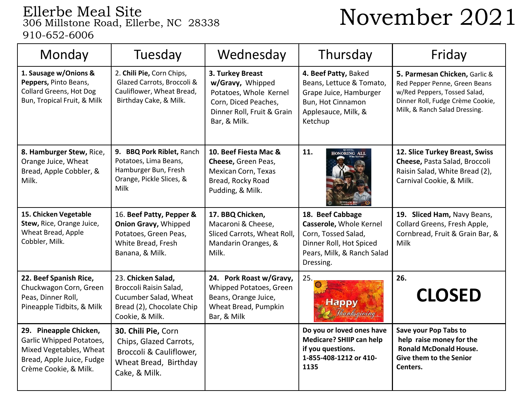# Ellerbe Meal Site<br>306 Millstone Road, Ellerbe, NC 28338 November 2021 910-652-6006

| Monday                                                                                                                              | Tuesday                                                                                                                   | Wednesday                                                                                                                            | Thursday                                                                                                                                 | Friday                                                                                                                                                              |
|-------------------------------------------------------------------------------------------------------------------------------------|---------------------------------------------------------------------------------------------------------------------------|--------------------------------------------------------------------------------------------------------------------------------------|------------------------------------------------------------------------------------------------------------------------------------------|---------------------------------------------------------------------------------------------------------------------------------------------------------------------|
| 1. Sausage w/Onions &<br>Peppers, Pinto Beans,<br>Collard Greens, Hot Dog<br>Bun, Tropical Fruit, & Milk                            | 2. Chili Pie, Corn Chips,<br>Glazed Carrots, Broccoli &<br>Cauliflower, Wheat Bread,<br>Birthday Cake, & Milk.            | 3. Turkey Breast<br>w/Gravy, Whipped<br>Potatoes, Whole Kernel<br>Corn, Diced Peaches,<br>Dinner Roll, Fruit & Grain<br>Bar, & Milk. | 4. Beef Patty, Baked<br>Beans, Lettuce & Tomato,<br>Grape Juice, Hamburger<br>Bun, Hot Cinnamon<br>Applesauce, Milk, &<br>Ketchup        | 5. Parmesan Chicken, Garlic &<br>Red Pepper Penne, Green Beans<br>w/Red Peppers, Tossed Salad,<br>Dinner Roll, Fudge Crème Cookie,<br>Milk, & Ranch Salad Dressing. |
| 8. Hamburger Stew, Rice,<br>Orange Juice, Wheat<br>Bread, Apple Cobbler, &<br>Milk.                                                 | 9. BBQ Pork Riblet, Ranch<br>Potatoes, Lima Beans,<br>Hamburger Bun, Fresh<br>Orange, Pickle Slices, &<br>Milk            | 10. Beef Fiesta Mac &<br>Cheese, Green Peas,<br>Mexican Corn, Texas<br>Bread, Rocky Road<br>Pudding, & Milk.                         | 11.<br>HONORING ALL                                                                                                                      | 12. Slice Turkey Breast, Swiss<br>Cheese, Pasta Salad, Broccoli<br>Raisin Salad, White Bread (2),<br>Carnival Cookie, & Milk.                                       |
| 15. Chicken Vegetable<br>Stew, Rice, Orange Juice,<br>Wheat Bread, Apple<br>Cobbler, Milk.                                          | 16. Beef Patty, Pepper &<br><b>Onion Gravy, Whipped</b><br>Potatoes, Green Peas,<br>White Bread, Fresh<br>Banana, & Milk. | 17. BBQ Chicken,<br>Macaroni & Cheese,<br>Sliced Carrots, Wheat Roll,<br>Mandarin Oranges, &<br>Milk.                                | 18. Beef Cabbage<br>Casserole, Whole Kernel<br>Corn, Tossed Salad,<br>Dinner Roll, Hot Spiced<br>Pears, Milk, & Ranch Salad<br>Dressing. | 19. Sliced Ham, Navy Beans,<br>Collard Greens, Fresh Apple,<br>Cornbread, Fruit & Grain Bar, &<br>Milk                                                              |
| 22. Beef Spanish Rice,<br>Chuckwagon Corn, Green<br>Peas, Dinner Roll,<br>Pineapple Tidbits, & Milk                                 | 23. Chicken Salad,<br>Broccoli Raisin Salad,<br>Cucumber Salad, Wheat<br>Bread (2), Chocolate Chip<br>Cookie, & Milk.     | 24. Pork Roast w/Gravy,<br>Whipped Potatoes, Green<br>Beans, Orange Juice,<br>Wheat Bread, Pumpkin<br>Bar, & Milk                    | 25.<br><b>Happy</b><br><u>Shanksgiving</u>                                                                                               | 26.<br><b>CLOSED</b>                                                                                                                                                |
| 29. Pineapple Chicken,<br>Garlic Whipped Potatoes,<br>Mixed Vegetables, Wheat<br>Bread, Apple Juice, Fudge<br>Crème Cookie, & Milk. | 30. Chili Pie, Corn<br>Chips, Glazed Carrots,<br>Broccoli & Cauliflower,<br>Wheat Bread, Birthday<br>Cake, & Milk.        |                                                                                                                                      | Do you or loved ones have<br>Medicare? SHIIP can help<br>if you questions.<br>1-855-408-1212 or 410-<br>1135                             | Save your Pop Tabs to<br>help raise money for the<br><b>Ronald McDonald House.</b><br><b>Give them to the Senior</b><br>Centers.                                    |